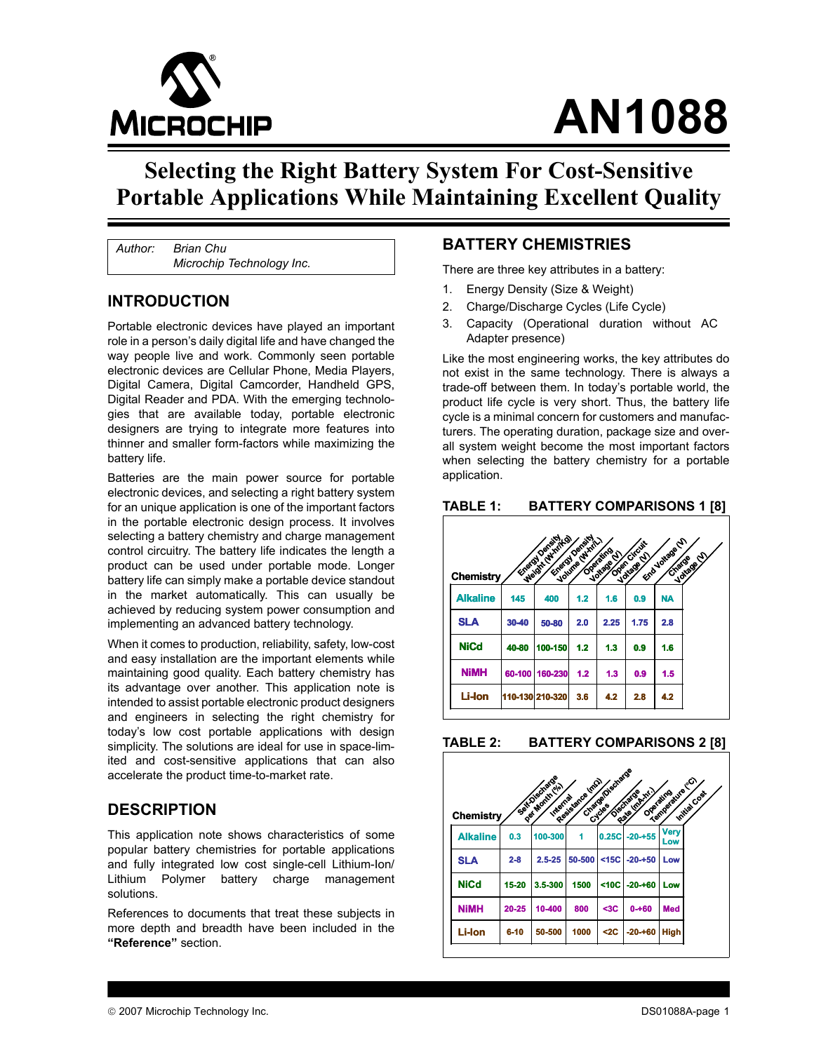

# **AN1088**

# **Selecting the Right Battery System For Cost-Sensitive Portable Applications While Maintaining Excellent Quality**

*Author: Brian Chu Microchip Technology Inc.*

#### **INTRODUCTION**

Portable electronic devices have played an important role in a person's daily digital life and have changed the way people live and work. Commonly seen portable electronic devices are Cellular Phone, Media Players, Digital Camera, Digital Camcorder, Handheld GPS, Digital Reader and PDA. With the emerging technologies that are available today, portable electronic designers are trying to integrate more features into thinner and smaller form-factors while maximizing the battery life.

Batteries are the main power source for portable electronic devices, and selecting a right battery system for an unique application is one of the important factors in the portable electronic design process. It involves selecting a battery chemistry and charge management control circuitry. The battery life indicates the length a product can be used under portable mode. Longer battery life can simply make a portable device standout in the market automatically. This can usually be achieved by reducing system power consumption and implementing an advanced battery technology.

When it comes to production, reliability, safety, low-cost and easy installation are the important elements while maintaining good quality. Each battery chemistry has its advantage over another. This application note is intended to assist portable electronic product designers and engineers in selecting the right chemistry for today's low cost portable applications with design simplicity. The solutions are ideal for use in space-limited and cost-sensitive applications that can also accelerate the product time-to-market rate.

#### **DESCRIPTION**

This application note shows characteristics of some popular battery chemistries for portable applications and fully integrated low cost single-cell Lithium-Ion/ Lithium Polymer battery charge management solutions.

References to documents that treat these subjects in more depth and breadth have been included in the **"Reference"** section.

#### **BATTERY CHEMISTRIES**

There are three key attributes in a battery:

- 1. Energy Density (Size & Weight)
- 2. Charge/Discharge Cycles (Life Cycle)
- 3. Capacity (Operational duration without AC Adapter presence)

Like the most engineering works, the key attributes do not exist in the same technology. There is always a trade-off between them. In today's portable world, the product life cycle is very short. Thus, the battery life cycle is a minimal concern for customers and manufacturers. The operating duration, package size and overall system weight become the most important factors when selecting the battery chemistry for a portable application.

#### <span id="page-0-0"></span>**TABLE 1: BATTERY COMPARISONS 1 [8]**

|                 |       | Engrat Density  | Engry Density  |                          |                             |                           |             |
|-----------------|-------|-----------------|----------------|--------------------------|-----------------------------|---------------------------|-------------|
| Chemistry       |       | Weight Chinites | Volume (White) | Operating<br>Voltage (V) | Open Circuit<br>Voltage (V) | End Voltage (V)<br>Charge | Voltage (V) |
| <b>Alkaline</b> | 145   | 400             | 1.2            | 1.6                      | 0.9                         | NA                        |             |
| <b>SLA</b>      | 30-40 | 50-80           | 2.0            | 2.25                     | 1.75                        | 2.8                       |             |
| <b>NiCd</b>     | 40-80 | 100-150         | 1.2            | 1.3                      | 0.9                         | 1.6                       |             |
| <b>NiMH</b>     |       | 60-100 160-230  | 1.2            | 1.3                      | 0.9                         | 1.5                       |             |
| <b>Li-lon</b>   |       | 110-130 210-320 | 3.6            | 4.2                      | 2.8                         | 4.2                       |             |

#### <span id="page-0-1"></span>**TABLE 2: BATTERY COMPARISONS 2 [8]**

| Chemistry       |          | Sati Discharge<br>Dar Month elal<br>Internal | Resistance (mg) | Charge/Discharge<br>Cycles | Rate (maxim.)<br>Discharge<br>Operating | Temperature (Cr)<br>Initial Cost |
|-----------------|----------|----------------------------------------------|-----------------|----------------------------|-----------------------------------------|----------------------------------|
| <b>Alkaline</b> | 0.3      | 100-300                                      | 1               | 0.25C                      | $-20 - 55$                              | <b>Very</b><br>Low               |
| <b>SLA</b>      | $2 - 8$  | $2.5 - 25$                                   | 50-500          | $<$ 15 $C$                 | $-20 - 50$                              | Low                              |
| <b>NiCd</b>     | 15-20    | 3.5-300                                      | 1500            | $<$ 10 $<$                 | $-20 + 60$                              | Low                              |
| <b>NiMH</b>     | 20-25    | 10-400                                       | 800             | $3C$                       | $0 - 60$                                | <b>Med</b>                       |
| <b>Li-lon</b>   | $6 - 10$ | 50-500                                       | 1000            | $2C$                       | $-20 - 60$                              | <b>High</b>                      |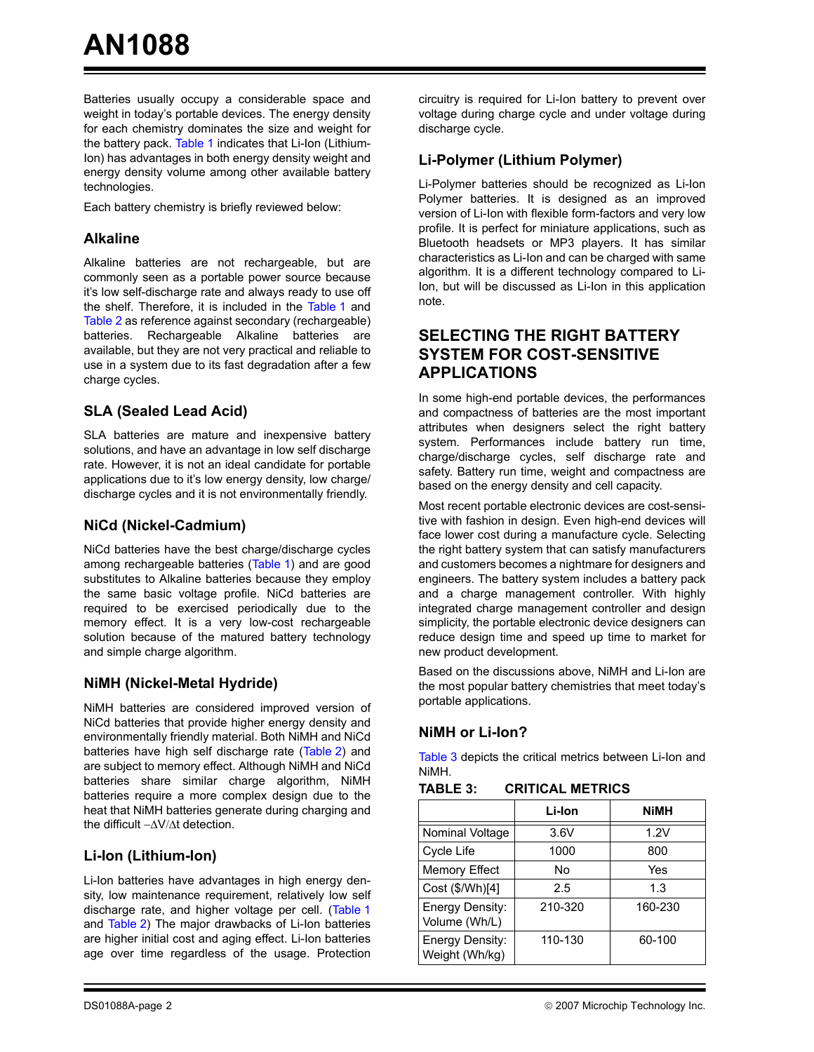Batteries usually occupy a considerable space and weight in today's portable devices. The energy density for each chemistry dominates the size and weight for the battery pack. [Table 1](#page-0-0) indicates that Li-Ion (Lithium-Ion) has advantages in both energy density weight and energy density volume among other available battery technologies.

Each battery chemistry is briefly reviewed below:

#### **Alkaline**

Alkaline batteries are not rechargeable, but are commonly seen as a portable power source because it's low self-discharge rate and always ready to use off the shelf. Therefore, it is included in the [Table 1](#page-0-0) and [Table 2](#page-0-1) as reference against secondary (rechargeable) batteries. Rechargeable Alkaline batteries are available, but they are not very practical and reliable to use in a system due to its fast degradation after a few charge cycles.

#### **SLA (Sealed Lead Acid)**

SLA batteries are mature and inexpensive battery solutions, and have an advantage in low self discharge rate. However, it is not an ideal candidate for portable applications due to it's low energy density, low charge/ discharge cycles and it is not environmentally friendly.

#### **NiCd (Nickel-Cadmium)**

NiCd batteries have the best charge/discharge cycles among rechargeable batteries ([Table 1\)](#page-0-0) and are good substitutes to Alkaline batteries because they employ the same basic voltage profile. NiCd batteries are required to be exercised periodically due to the memory effect. It is a very low-cost rechargeable solution because of the matured battery technology and simple charge algorithm.

#### **NiMH (Nickel-Metal Hydride)**

NiMH batteries are considered improved version of NiCd batteries that provide higher energy density and environmentally friendly material. Both NiMH and NiCd batteries have high self discharge rate [\(Table 2](#page-0-1)) and are subject to memory effect. Although NiMH and NiCd batteries share similar charge algorithm, NiMH batteries require a more complex design due to the heat that NiMH batteries generate during charging and the difficult −ΔV/Δt detection.

#### **Li-Ion (Lithium-Ion)**

Li-Ion batteries have advantages in high energy density, low maintenance requirement, relatively low self discharge rate, and higher voltage per cell. ([Table 1](#page-0-0) and [Table 2](#page-0-1)) The major drawbacks of Li-Ion batteries are higher initial cost and aging effect. Li-Ion batteries age over time regardless of the usage. Protection

circuitry is required for Li-Ion battery to prevent over voltage during charge cycle and under voltage during discharge cycle.

#### **Li-Polymer (Lithium Polymer)**

Li-Polymer batteries should be recognized as Li-Ion Polymer batteries. It is designed as an improved version of Li-Ion with flexible form-factors and very low profile. It is perfect for miniature applications, such as Bluetooth headsets or MP3 players. It has similar characteristics as Li-Ion and can be charged with same algorithm. It is a different technology compared to Li-Ion, but will be discussed as Li-Ion in this application note.

#### **SELECTING THE RIGHT BATTERY SYSTEM FOR COST-SENSITIVE APPLICATIONS**

In some high-end portable devices, the performances and compactness of batteries are the most important attributes when designers select the right battery system. Performances include battery run time, charge/discharge cycles, self discharge rate and safety. Battery run time, weight and compactness are based on the energy density and cell capacity.

Most recent portable electronic devices are cost-sensitive with fashion in design. Even high-end devices will face lower cost during a manufacture cycle. Selecting the right battery system that can satisfy manufacturers and customers becomes a nightmare for designers and engineers. The battery system includes a battery pack and a charge management controller. With highly integrated charge management controller and design simplicity, the portable electronic device designers can reduce design time and speed up time to market for new product development.

Based on the discussions above, NiMH and Li-Ion are the most popular battery chemistries that meet today's portable applications.

#### **NiMH or Li-Ion?**

[Table 3](#page-1-0) depicts the critical metrics between Li-Ion and NiMH.

<span id="page-1-0"></span>**TABLE 3: CRITICAL METRICS**

|                                   | Li-Ion  | NiMH    |
|-----------------------------------|---------|---------|
| Nominal Voltage                   | 3.6V    | 1.2V    |
| Cycle Life                        | 1000    | 800     |
| <b>Memory Effect</b>              | No      | Yes     |
| Cost (\$/Wh)[4]                   | 2.5     | 1.3     |
| Energy Density:<br>Volume (Wh/L)  | 210-320 | 160-230 |
| Energy Density:<br>Weight (Wh/kg) | 110-130 | 60-100  |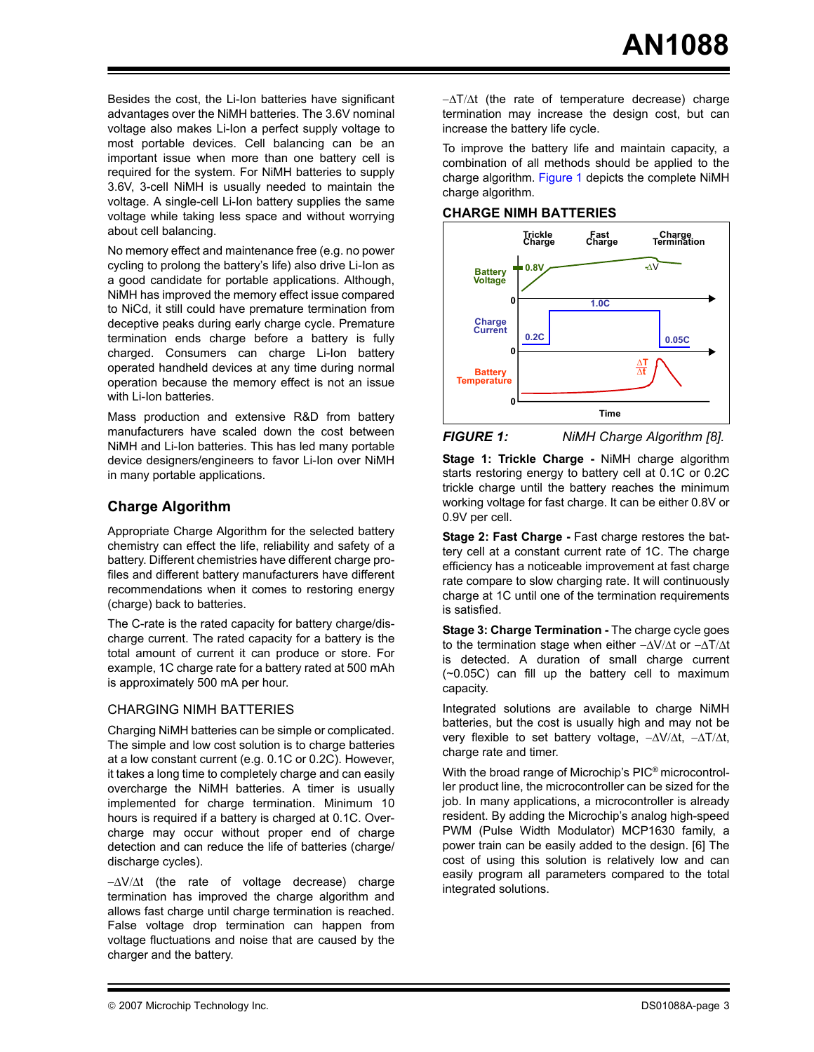Besides the cost, the Li-Ion batteries have significant advantages over the NiMH batteries. The 3.6V nominal voltage also makes Li-Ion a perfect supply voltage to most portable devices. Cell balancing can be an important issue when more than one battery cell is required for the system. For NiMH batteries to supply 3.6V, 3-cell NiMH is usually needed to maintain the voltage. A single-cell Li-Ion battery supplies the same voltage while taking less space and without worrying about cell balancing.

No memory effect and maintenance free (e.g. no power cycling to prolong the battery's life) also drive Li-Ion as a good candidate for portable applications. Although, NiMH has improved the memory effect issue compared to NiCd, it still could have premature termination from deceptive peaks during early charge cycle. Premature termination ends charge before a battery is fully charged. Consumers can charge Li-Ion battery operated handheld devices at any time during normal operation because the memory effect is not an issue with Li-Ion batteries.

Mass production and extensive R&D from battery manufacturers have scaled down the cost between NiMH and Li-Ion batteries. This has led many portable device designers/engineers to favor Li-Ion over NiMH in many portable applications.

#### **Charge Algorithm**

Appropriate Charge Algorithm for the selected battery chemistry can effect the life, reliability and safety of a battery. Different chemistries have different charge profiles and different battery manufacturers have different recommendations when it comes to restoring energy (charge) back to batteries.

The C-rate is the rated capacity for battery charge/discharge current. The rated capacity for a battery is the total amount of current it can produce or store. For example, 1C charge rate for a battery rated at 500 mAh is approximately 500 mA per hour.

#### CHARGING NIMH BATTERIES

Charging NiMH batteries can be simple or complicated. The simple and low cost solution is to charge batteries at a low constant current (e.g. 0.1C or 0.2C). However, it takes a long time to completely charge and can easily overcharge the NiMH batteries. A timer is usually implemented for charge termination. Minimum 10 hours is required if a battery is charged at 0.1C. Overcharge may occur without proper end of charge detection and can reduce the life of batteries (charge/ discharge cycles).

−ΔV/Δt (the rate of voltage decrease) charge termination has improved the charge algorithm and allows fast charge until charge termination is reached. False voltage drop termination can happen from voltage fluctuations and noise that are caused by the charger and the battery.

−ΔT/Δt (the rate of temperature decrease) charge termination may increase the design cost, but can increase the battery life cycle.

To improve the battery life and maintain capacity, a combination of all methods should be applied to the charge algorithm. [Figure 1](#page-2-0) depicts the complete NiMH charge algorithm.

#### **CHARGE NIMH BATTERIES**



<span id="page-2-0"></span>*FIGURE 1: NiMH Charge Algorithm [8].*

**Stage 1: Trickle Charge -** NiMH charge algorithm starts restoring energy to battery cell at 0.1C or 0.2C trickle charge until the battery reaches the minimum working voltage for fast charge. It can be either 0.8V or 0.9V per cell.

**Stage 2: Fast Charge -** Fast charge restores the battery cell at a constant current rate of 1C. The charge efficiency has a noticeable improvement at fast charge rate compare to slow charging rate. It will continuously charge at 1C until one of the termination requirements is satisfied.

**Stage 3: Charge Termination - The charge cycle goes** to the termination stage when either −ΔV/Δt or −ΔT/Δt is detected. A duration of small charge current (~0.05C) can fill up the battery cell to maximum capacity.

Integrated solutions are available to charge NiMH batteries, but the cost is usually high and may not be very flexible to set battery voltage, −ΔV/Δt, −ΔT/Δt, charge rate and timer.

With the broad range of Microchip's PIC® microcontroller product line, the microcontroller can be sized for the job. In many applications, a microcontroller is already resident. By adding the Microchip's analog high-speed PWM (Pulse Width Modulator) MCP1630 family, a power train can be easily added to the design. [6] The cost of using this solution is relatively low and can easily program all parameters compared to the total integrated solutions.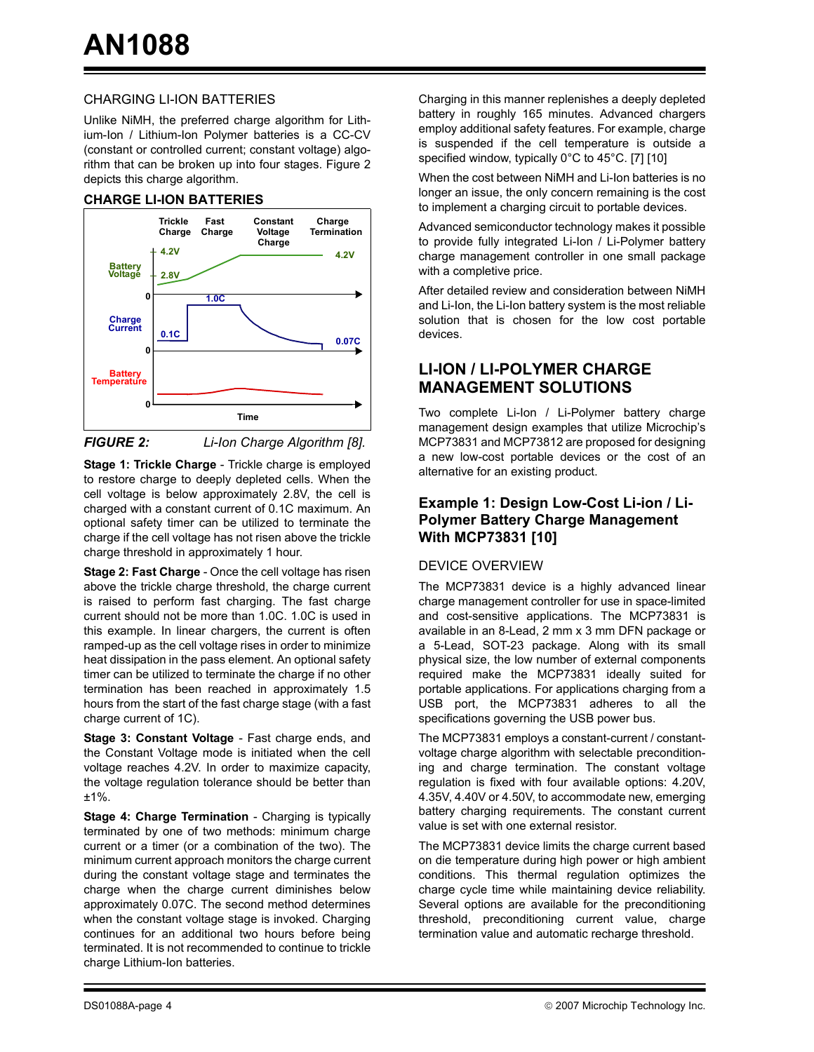#### CHARGING LI-ION BATTERIES

Unlike NiMH, the preferred charge algorithm for Lithium-Ion / Lithium-Ion Polymer batteries is a CC-CV (constant or controlled current; constant voltage) algorithm that can be broken up into four stages. Figure 2 depicts this charge algorithm.

#### **CHARGE LI-ION BATTERIES**



*FIGURE 2: Li-Ion Charge Algorithm [8].*

**Stage 1: Trickle Charge** - Trickle charge is employed to restore charge to deeply depleted cells. When the cell voltage is below approximately 2.8V, the cell is charged with a constant current of 0.1C maximum. An optional safety timer can be utilized to terminate the charge if the cell voltage has not risen above the trickle charge threshold in approximately 1 hour.

**Stage 2: Fast Charge** - Once the cell voltage has risen above the trickle charge threshold, the charge current is raised to perform fast charging. The fast charge current should not be more than 1.0C. 1.0C is used in this example. In linear chargers, the current is often ramped-up as the cell voltage rises in order to minimize heat dissipation in the pass element. An optional safety timer can be utilized to terminate the charge if no other termination has been reached in approximately 1.5 hours from the start of the fast charge stage (with a fast charge current of 1C).

**Stage 3: Constant Voltage** - Fast charge ends, and the Constant Voltage mode is initiated when the cell voltage reaches 4.2V. In order to maximize capacity, the voltage regulation tolerance should be better than ±1%.

**Stage 4: Charge Termination** - Charging is typically terminated by one of two methods: minimum charge current or a timer (or a combination of the two). The minimum current approach monitors the charge current during the constant voltage stage and terminates the charge when the charge current diminishes below approximately 0.07C. The second method determines when the constant voltage stage is invoked. Charging continues for an additional two hours before being terminated. It is not recommended to continue to trickle charge Lithium-Ion batteries.

Charging in this manner replenishes a deeply depleted battery in roughly 165 minutes. Advanced chargers employ additional safety features. For example, charge is suspended if the cell temperature is outside a specified window, typically 0°C to 45°C. [7] [10]

When the cost between NiMH and Li-Ion batteries is no longer an issue, the only concern remaining is the cost to implement a charging circuit to portable devices.

Advanced semiconductor technology makes it possible to provide fully integrated Li-Ion / Li-Polymer battery charge management controller in one small package with a completive price.

After detailed review and consideration between NiMH and Li-Ion, the Li-Ion battery system is the most reliable solution that is chosen for the low cost portable devices.

### **LI-ION / LI-POLYMER CHARGE MANAGEMENT SOLUTIONS**

Two complete Li-Ion / Li-Polymer battery charge management design examples that utilize Microchip's MCP73831 and MCP73812 are proposed for designing a new low-cost portable devices or the cost of an alternative for an existing product.

#### **Example 1: Design Low-Cost Li-ion / Li-Polymer Battery Charge Management With MCP73831 [10]**

#### DEVICE OVERVIEW

The MCP73831 device is a highly advanced linear charge management controller for use in space-limited and cost-sensitive applications. The MCP73831 is available in an 8-Lead, 2 mm x 3 mm DFN package or a 5-Lead, SOT-23 package. Along with its small physical size, the low number of external components required make the MCP73831 ideally suited for portable applications. For applications charging from a USB port, the MCP73831 adheres to all the specifications governing the USB power bus.

The MCP73831 employs a constant-current / constantvoltage charge algorithm with selectable preconditioning and charge termination. The constant voltage regulation is fixed with four available options: 4.20V, 4.35V, 4.40V or 4.50V, to accommodate new, emerging battery charging requirements. The constant current value is set with one external resistor.

The MCP73831 device limits the charge current based on die temperature during high power or high ambient conditions. This thermal regulation optimizes the charge cycle time while maintaining device reliability. Several options are available for the preconditioning threshold, preconditioning current value, charge termination value and automatic recharge threshold.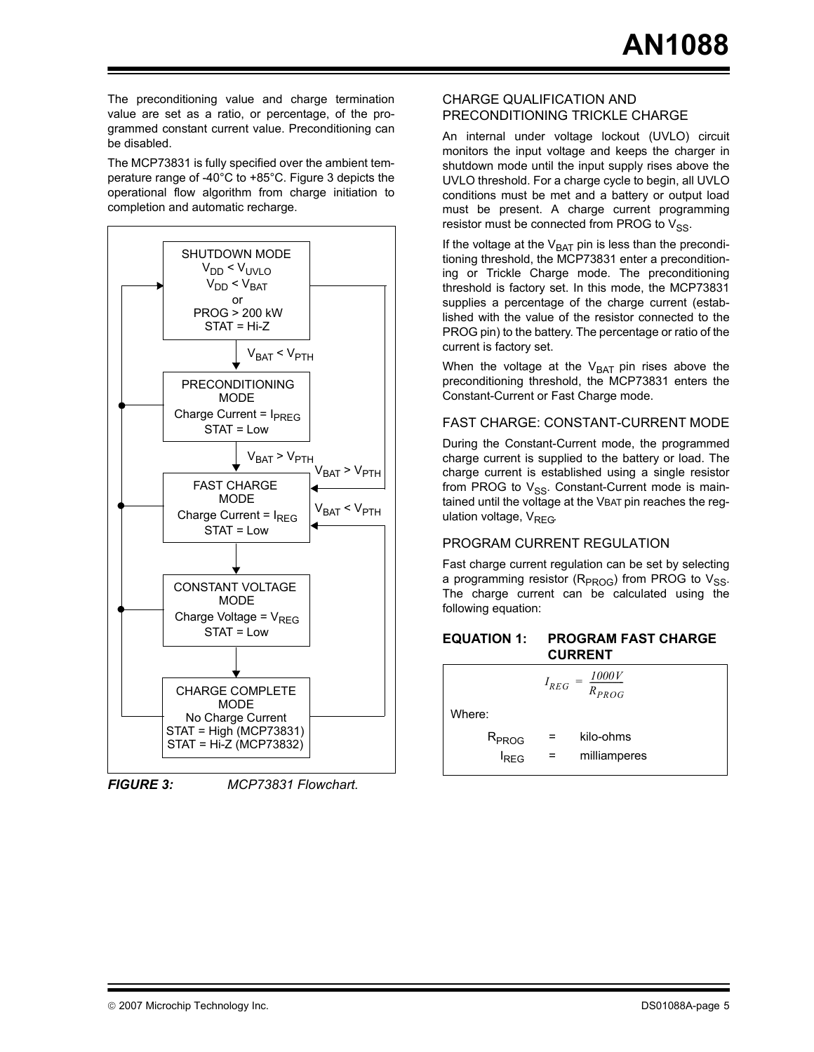The preconditioning value and charge termination value are set as a ratio, or percentage, of the programmed constant current value. Preconditioning can be disabled.

The MCP73831 is fully specified over the ambient temperature range of -40°C to +85°C. Figure 3 depicts the operational flow algorithm from charge initiation to completion and automatic recharge.



*FIGURE 3: MCP73831 Flowchart.*

#### CHARGE QUALIFICATION AND PRECONDITIONING TRICKLE CHARGE

An internal under voltage lockout (UVLO) circuit monitors the input voltage and keeps the charger in shutdown mode until the input supply rises above the UVLO threshold. For a charge cycle to begin, all UVLO conditions must be met and a battery or output load must be present. A charge current programming resistor must be connected from PROG to  $V_{SS}$ .

If the voltage at the  $V_{BAT}$  pin is less than the preconditioning threshold, the MCP73831 enter a preconditioning or Trickle Charge mode. The preconditioning threshold is factory set. In this mode, the MCP73831 supplies a percentage of the charge current (established with the value of the resistor connected to the PROG pin) to the battery. The percentage or ratio of the current is factory set.

When the voltage at the  $V_{BAT}$  pin rises above the preconditioning threshold, the MCP73831 enters the Constant-Current or Fast Charge mode.

#### FAST CHARGE: CONSTANT-CURRENT MODE

During the Constant-Current mode, the programmed charge current is supplied to the battery or load. The charge current is established using a single resistor from PROG to  $V_{SS}$ . Constant-Current mode is maintained until the voltage at the VBAT pin reaches the regulation voltage,  $V_{REG}$ .

#### PROGRAM CURRENT REGULATION

Fast charge current regulation can be set by selecting a programming resistor ( $R_{PROG}$ ) from PROG to  $V_{SS}$ . The charge current can be calculated using the following equation:

<span id="page-4-0"></span>

| <b>EQUATION 1:</b> | <b>PROGRAM FAST CHARGE</b> |
|--------------------|----------------------------|
|                    | <b>CURRENT</b>             |

|                                       | $I_{REG}$ | $\frac{1000V}{R_{PROG}}$<br>= |
|---------------------------------------|-----------|-------------------------------|
| Where:                                |           |                               |
| R <sub>PROG</sub><br><sup>I</sup> REG |           | kilo-ohms<br>milliamperes     |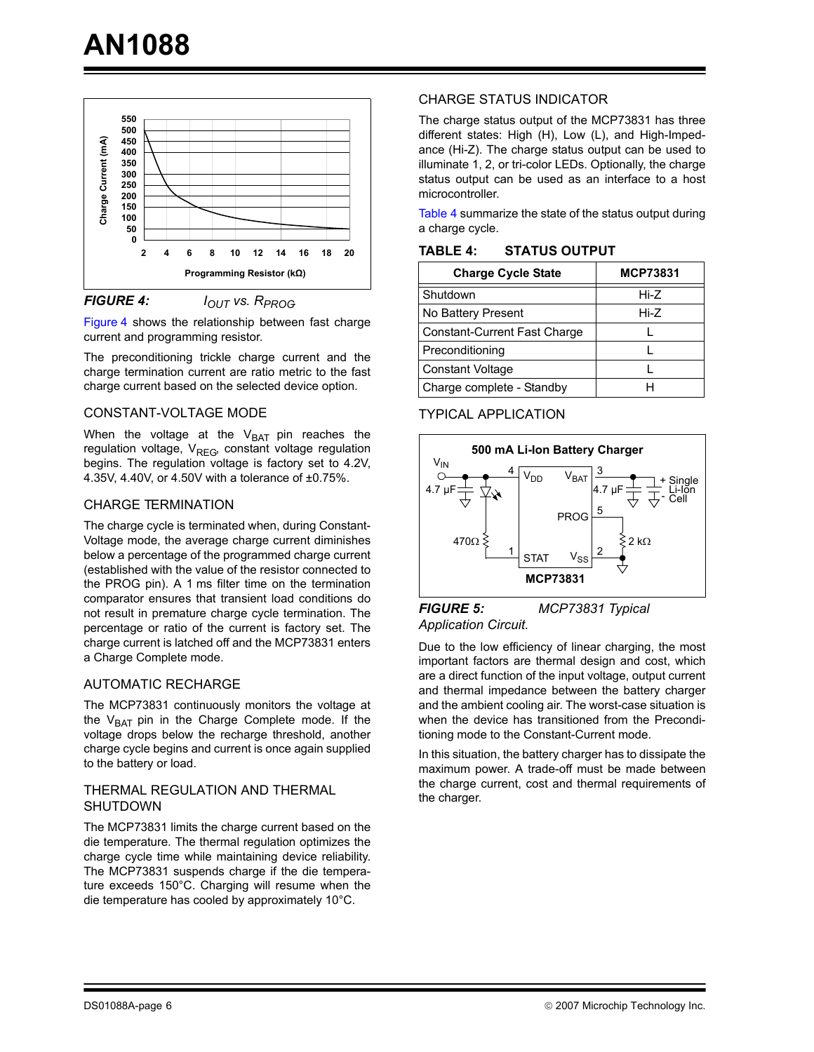

<span id="page-5-0"></span>**FIGURE 4:** *I<sub>OUT</sub>* vs. R<sub>PROG</sub>

[Figure 4](#page-5-0) shows the relationship between fast charge current and programming resistor.

The preconditioning trickle charge current and the charge termination current are ratio metric to the fast charge current based on the selected device option.

#### CONSTANT-VOLTAGE MODE

When the voltage at the  $V_{BAT}$  pin reaches the regulation voltage,  $V_{REG}$  constant voltage regulation begins. The regulation voltage is factory set to 4.2V, 4.35V, 4.40V, or 4.50V with a tolerance of ±0.75%.

#### CHARGE TERMINATION

The charge cycle is terminated when, during Constant-Voltage mode, the average charge current diminishes below a percentage of the programmed charge current (established with the value of the resistor connected to the PROG pin). A 1 ms filter time on the termination comparator ensures that transient load conditions do not result in premature charge cycle termination. The percentage or ratio of the current is factory set. The charge current is latched off and the MCP73831 enters a Charge Complete mode.

#### AUTOMATIC RECHARGE

The MCP73831 continuously monitors the voltage at the  $V_{BAT}$  pin in the Charge Complete mode. If the voltage drops below the recharge threshold, another charge cycle begins and current is once again supplied to the battery or load.

#### THERMAL REGULATION AND THERMAL SHUTDOWN

The MCP73831 limits the charge current based on the die temperature. The thermal regulation optimizes the charge cycle time while maintaining device reliability. The MCP73831 suspends charge if the die temperature exceeds 150°C. Charging will resume when the die temperature has cooled by approximately 10°C.

#### CHARGE STATUS INDICATOR

The charge status output of the MCP73831 has three different states: High (H), Low (L), and High-Impedance (Hi-Z). The charge status output can be used to illuminate 1, 2, or tri-color LEDs. Optionally, the charge status output can be used as an interface to a host microcontroller.

[Table 4](#page-5-1) summarize the state of the status output during a charge cycle.

| <b>Charge Cycle State</b>    | <b>MCP73831</b> |  |  |
|------------------------------|-----------------|--|--|
| Shutdown                     | Hi-Z            |  |  |
| No Battery Present           | Hi-Z            |  |  |
| Constant-Current Fast Charge |                 |  |  |
| Preconditioning              |                 |  |  |
| <b>Constant Voltage</b>      |                 |  |  |
| Charge complete - Standby    |                 |  |  |

<span id="page-5-1"></span>**TABLE 4: STATUS OUTPUT**

#### TYPICAL APPLICATION



#### *FIGURE 5: MCP73831 Typical Application Circuit.*

Due to the low efficiency of linear charging, the most important factors are thermal design and cost, which are a direct function of the input voltage, output current and thermal impedance between the battery charger and the ambient cooling air. The worst-case situation is when the device has transitioned from the Preconditioning mode to the Constant-Current mode.

In this situation, the battery charger has to dissipate the maximum power. A trade-off must be made between the charge current, cost and thermal requirements of the charger.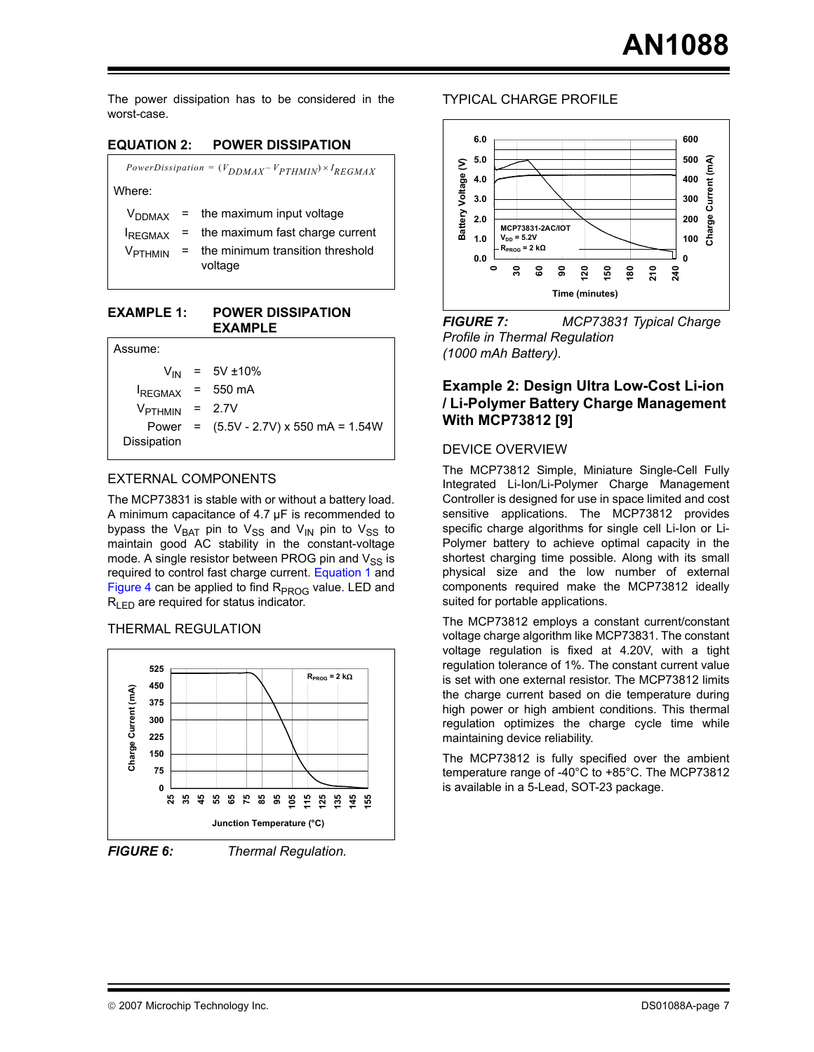The power dissipation has to be considered in the worst-case.

#### **EQUATION 2: POWER DISSIPATION**

| PowerDissipation = $(V_{DDMAX}-V_{PTHMIN}) \times I_{REGMAX}$ |     |                                                                                                                 |  |  |
|---------------------------------------------------------------|-----|-----------------------------------------------------------------------------------------------------------------|--|--|
| Where:                                                        |     |                                                                                                                 |  |  |
| <b>V</b> DDMAX<br><b>IREGMAX</b><br>V <sub>PTHMIN</sub>       | $=$ | $=$ the maximum input voltage<br>the maximum fast charge current<br>the minimum transition threshold<br>voltage |  |  |

#### **EXAMPLE 1: POWER DISSIPATION EXAMPLE**

| Assume:                    |                                               |
|----------------------------|-----------------------------------------------|
|                            | $V_{IN}$ = 5V ±10%                            |
| $I_{REGMAX}$ = 550 mA      |                                               |
| V <sub>РТНМІN</sub> = 2.7V |                                               |
| Dissipation                | Power = $(5.5V - 2.7V) \times 550$ mA = 1.54W |
|                            |                                               |

#### EXTERNAL COMPONENTS

The MCP73831 is stable with or without a battery load. A minimum capacitance of 4.7 µF is recommended to bypass the V<sub>BAT</sub> pin to V<sub>SS</sub> and V<sub>IN</sub> pin to V<sub>SS</sub> to maintain good AC stability in the constant-voltage mode. A single resistor between PROG pin and  $V_{SS}$  is required to control fast charge current. [Equation 1](#page-4-0) and [Figure 4](#page-5-0) can be applied to find  $R_{PROG}$  value. LED and  $R_{\text{LED}}$  are required for status indicator.

#### THERMAL REGULATION



*FIGURE 6: Thermal Regulation.*

#### TYPICAL CHARGE PROFILE



*FIGURE 7: MCP73831 Typical Charge Profile in Thermal Regulation (1000 mAh Battery).*

#### **Example 2: Design Ultra Low-Cost Li-ion / Li-Polymer Battery Charge Management With MCP73812 [9]**

#### DEVICE OVERVIEW

The MCP73812 Simple, Miniature Single-Cell Fully Integrated Li-Ion/Li-Polymer Charge Management Controller is designed for use in space limited and cost sensitive applications. The MCP73812 provides specific charge algorithms for single cell Li-Ion or Li-Polymer battery to achieve optimal capacity in the shortest charging time possible. Along with its small physical size and the low number of external components required make the MCP73812 ideally suited for portable applications.

The MCP73812 employs a constant current/constant voltage charge algorithm like MCP73831. The constant voltage regulation is fixed at 4.20V, with a tight regulation tolerance of 1%. The constant current value is set with one external resistor. The MCP73812 limits the charge current based on die temperature during high power or high ambient conditions. This thermal regulation optimizes the charge cycle time while maintaining device reliability.

The MCP73812 is fully specified over the ambient temperature range of -40°C to +85°C. The MCP73812 is available in a 5-Lead, SOT-23 package.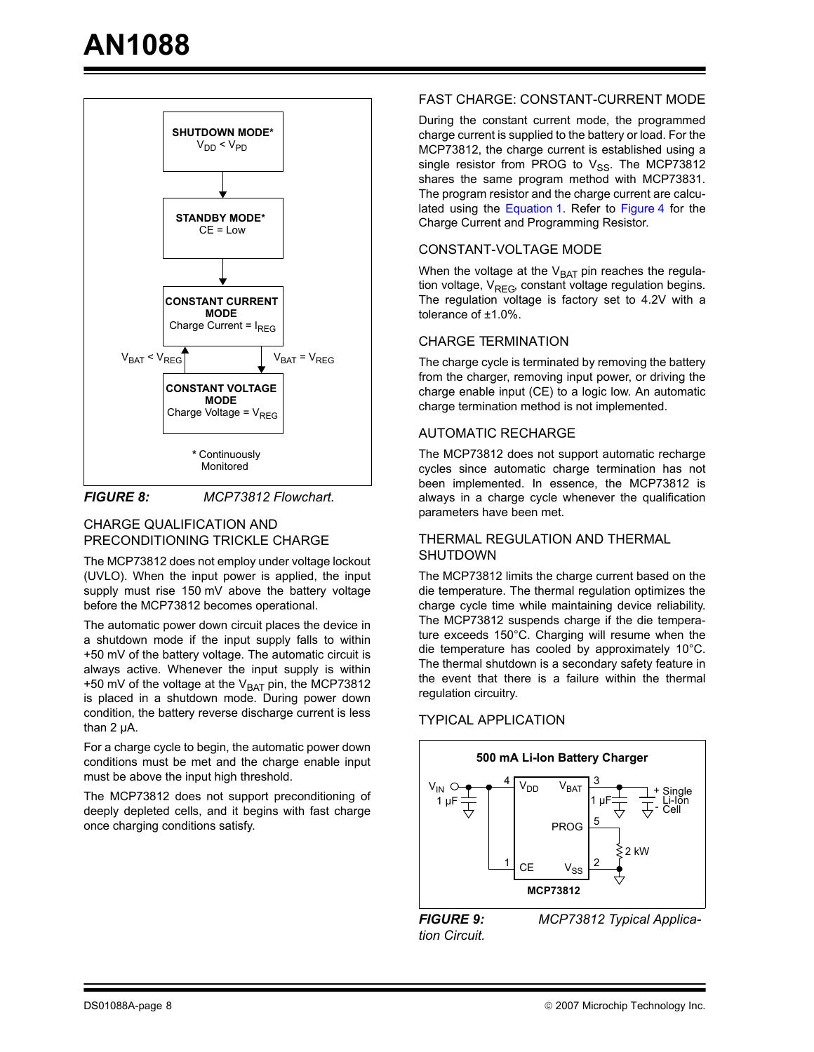

*FIGURE 8: MCP73812 Flowchart.*

#### CHARGE QUALIFICATION AND PRECONDITIONING TRICKLE CHARGE

The MCP73812 does not employ under voltage lockout (UVLO). When the input power is applied, the input supply must rise 150 mV above the battery voltage before the MCP73812 becomes operational.

The automatic power down circuit places the device in a shutdown mode if the input supply falls to within +50 mV of the battery voltage. The automatic circuit is always active. Whenever the input supply is within +50 mV of the voltage at the  $V_{BAT}$  pin, the MCP73812 is placed in a shutdown mode. During power down condition, the battery reverse discharge current is less than 2 µA.

For a charge cycle to begin, the automatic power down conditions must be met and the charge enable input must be above the input high threshold.

The MCP73812 does not support preconditioning of deeply depleted cells, and it begins with fast charge once charging conditions satisfy.

#### FAST CHARGE: CONSTANT-CURRENT MODE

During the constant current mode, the programmed charge current is supplied to the battery or load. For the MCP73812, the charge current is established using a single resistor from PROG to  $V_{SS}$ . The MCP73812 shares the same program method with MCP73831. The program resistor and the charge current are calculated using the [Equation 1](#page-4-0). Refer to [Figure 4](#page-5-0) for the Charge Current and Programming Resistor.

#### CONSTANT-VOLTAGE MODE

When the voltage at the  $V_{BAT}$  pin reaches the regulation voltage,  $V_{\text{REG}}$ , constant voltage regulation begins. The regulation voltage is factory set to 4.2V with a tolerance of ±1.0%.

#### CHARGE TERMINATION

The charge cycle is terminated by removing the battery from the charger, removing input power, or driving the charge enable input (CE) to a logic low. An automatic charge termination method is not implemented.

#### AUTOMATIC RECHARGE

The MCP73812 does not support automatic recharge cycles since automatic charge termination has not been implemented. In essence, the MCP73812 is always in a charge cycle whenever the qualification parameters have been met.

#### THERMAL REGULATION AND THERMAL SHUTDOWN

The MCP73812 limits the charge current based on the die temperature. The thermal regulation optimizes the charge cycle time while maintaining device reliability. The MCP73812 suspends charge if the die temperature exceeds 150°C. Charging will resume when the die temperature has cooled by approximately 10°C. The thermal shutdown is a secondary safety feature in the event that there is a failure within the thermal regulation circuitry.

#### TYPICAL APPLICATION



*tion Circuit.*

*FIGURE 9: MCP73812 Typical Applica-*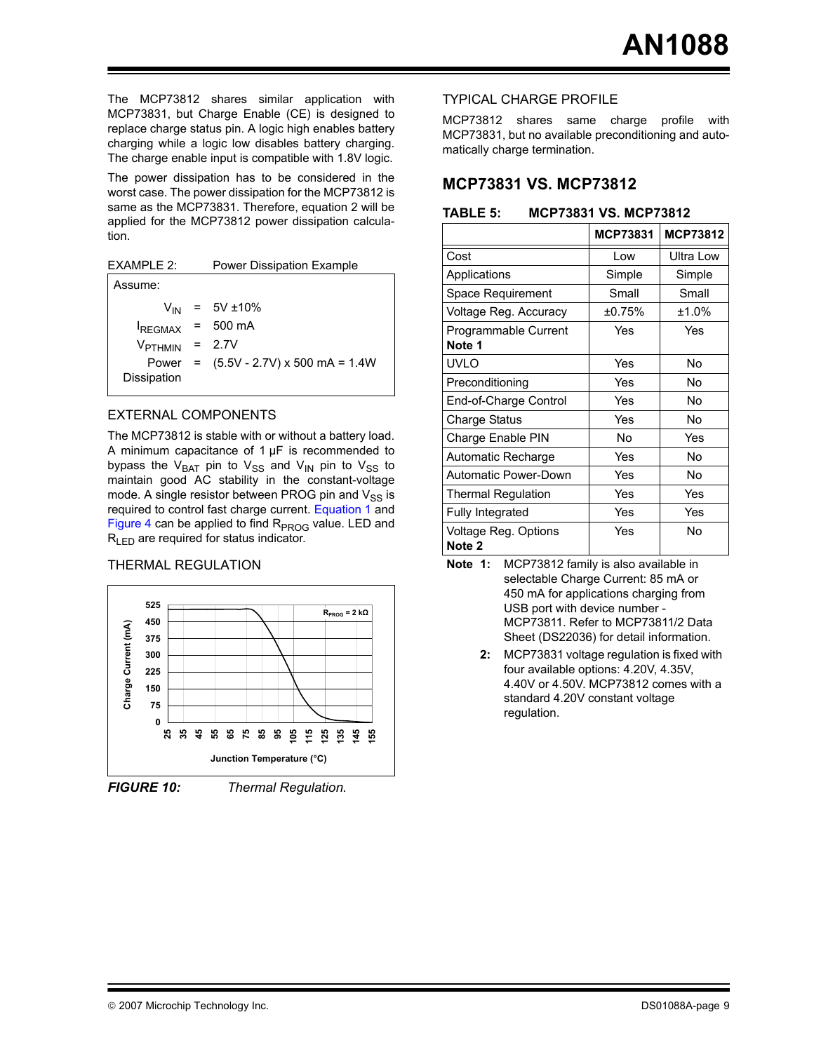The MCP73812 shares similar application with MCP73831, but Charge Enable (CE) is designed to replace charge status pin. A logic high enables battery charging while a logic low disables battery charging. The charge enable input is compatible with 1.8V logic.

The power dissipation has to be considered in the worst case. The power dissipation for the MCP73812 is same as the MCP73831. Therefore, equation 2 will be applied for the MCP73812 power dissipation calculation.

EXAMPLE 2: Power Dissipation Example

| $V_{IN}$ = 5V ±10%                           |
|----------------------------------------------|
| $I_{REGMAX}$ = 500 mA                        |
| $V_{PTHMIN}$ = 2.7V                          |
| Power = $(5.5V - 2.7V) \times 500$ mA = 1.4W |
|                                              |

#### EXTERNAL COMPONENTS

The MCP73812 is stable with or without a battery load. A minimum capacitance of  $1 \mu F$  is recommended to bypass the  $V_{BAT}$  pin to  $V_{SS}$  and  $V_{IN}$  pin to  $V_{SS}$  to maintain good AC stability in the constant-voltage mode. A single resistor between PROG pin and  $V_{SS}$  is required to control fast charge current. [Equation 1](#page-4-0) and [Figure 4](#page-5-0) can be applied to find  $R<sub>PROG</sub>$  value. LED and  $R_{LED}$  are required for status indicator.

#### THERMAL REGULATION





*FIGURE 10: Thermal Regulation.*

#### TYPICAL CHARGE PROFILE

MCP73812 shares same charge profile with MCP73831, but no available preconditioning and automatically charge termination.

#### **MCP73831 VS. MCP73812**

**TABLE 5: MCP73831 VS. MCP73812**

|                                | <b>MCP73831</b> | MCP73812         |
|--------------------------------|-----------------|------------------|
| Cost                           | Low             | <b>Ultra Low</b> |
| Applications                   | Simple          | Simple           |
| Space Requirement              | Small           | Small            |
| Voltage Reg. Accuracy          | ±0.75%          | ±1.0%            |
| Programmable Current<br>Note 1 | Yes             | Yes              |
| <b>UVLO</b>                    | Yes             | No               |
| Preconditioning                | Yes             | No               |
| End-of-Charge Control          | Yes             | No               |
| Charge Status                  | Yes             | No               |
| Charge Enable PIN              | No              | Yes              |
| Automatic Recharge             | Yes             | Nο               |
| <b>Automatic Power-Down</b>    | Yes             | No               |
| <b>Thermal Regulation</b>      | Yes             | Yes              |
| <b>Fully Integrated</b>        | Yes             | Yes              |
| Voltage Reg. Options<br>Note 2 | Yes             | No               |

- **Note 1:** MCP73812 family is also available in selectable Charge Current: 85 mA or 450 mA for applications charging from USB port with device number - MCP73811. Refer to MCP73811/2 Data Sheet (DS22036) for detail information.
	- **2:** MCP73831 voltage regulation is fixed with four available options: 4.20V, 4.35V, 4.40V or 4.50V. MCP73812 comes with a standard 4.20V constant voltage regulation.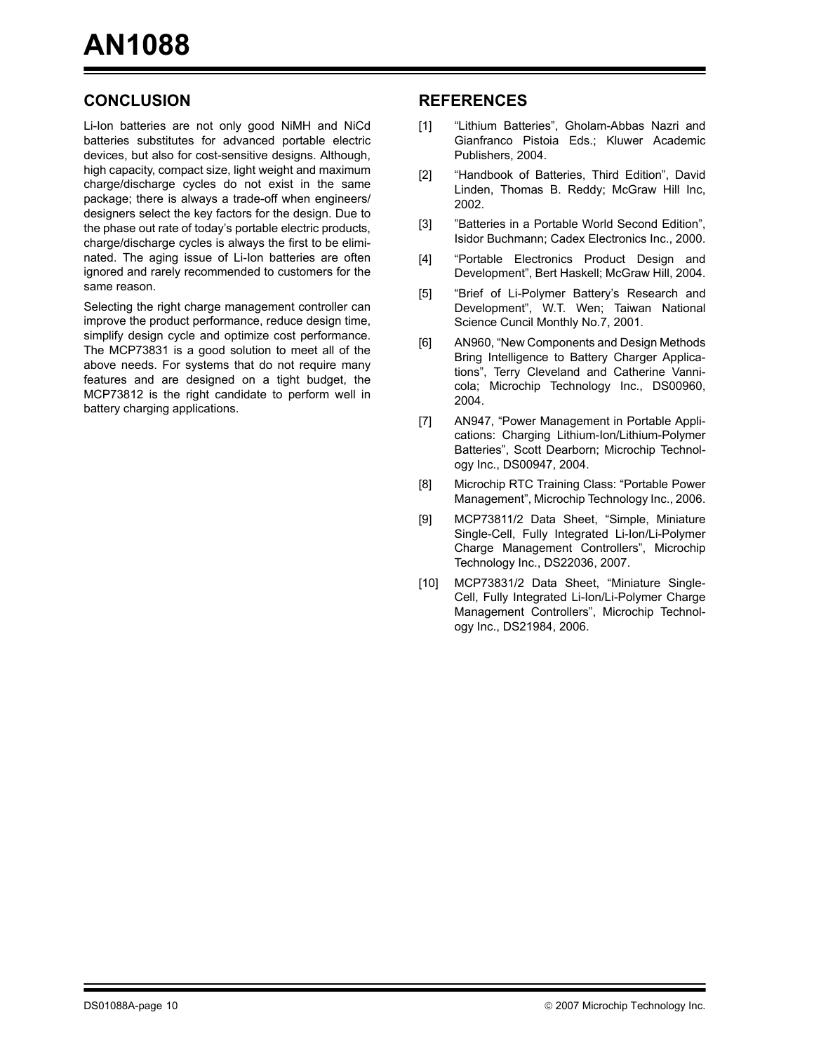### **CONCLUSION**

Li-Ion batteries are not only good NiMH and NiCd batteries substitutes for advanced portable electric devices, but also for cost-sensitive designs. Although, high capacity, compact size, light weight and maximum charge/discharge cycles do not exist in the same package; there is always a trade-off when engineers/ designers select the key factors for the design. Due to the phase out rate of today's portable electric products, charge/discharge cycles is always the first to be eliminated. The aging issue of Li-Ion batteries are often ignored and rarely recommended to customers for the same reason.

Selecting the right charge management controller can improve the product performance, reduce design time, simplify design cycle and optimize cost performance. The MCP73831 is a good solution to meet all of the above needs. For systems that do not require many features and are designed on a tight budget, the MCP73812 is the right candidate to perform well in battery charging applications.

#### **REFERENCES**

- [1] "Lithium Batteries", Gholam-Abbas Nazri and Gianfranco Pistoia Eds.; Kluwer Academic Publishers, 2004.
- [2] "Handbook of Batteries, Third Edition", David Linden, Thomas B. Reddy; McGraw Hill Inc, 2002.
- [3] "Batteries in a Portable World Second Edition", Isidor Buchmann; Cadex Electronics Inc., 2000.
- [4] "Portable Electronics Product Design and Development", Bert Haskell; McGraw Hill, 2004.
- [5] "Brief of Li-Polymer Battery's Research and Development", W.T. Wen; Taiwan National Science Cuncil Monthly No.7, 2001.
- [6] AN960, "New Components and Design Methods Bring Intelligence to Battery Charger Applications", Terry Cleveland and Catherine Vannicola; Microchip Technology Inc., DS00960, 2004.
- [7] AN947, "Power Management in Portable Applications: Charging Lithium-Ion/Lithium-Polymer Batteries", Scott Dearborn; Microchip Technology Inc., DS00947, 2004.
- [8] Microchip RTC Training Class: "Portable Power Management", Microchip Technology Inc., 2006.
- [9] MCP73811/2 Data Sheet, "Simple, Miniature Single-Cell, Fully Integrated Li-Ion/Li-Polymer Charge Management Controllers", Microchip Technology Inc., DS22036, 2007.
- [10] MCP73831/2 Data Sheet, "Miniature Single-Cell, Fully Integrated Li-Ion/Li-Polymer Charge Management Controllers", Microchip Technology Inc., DS21984, 2006.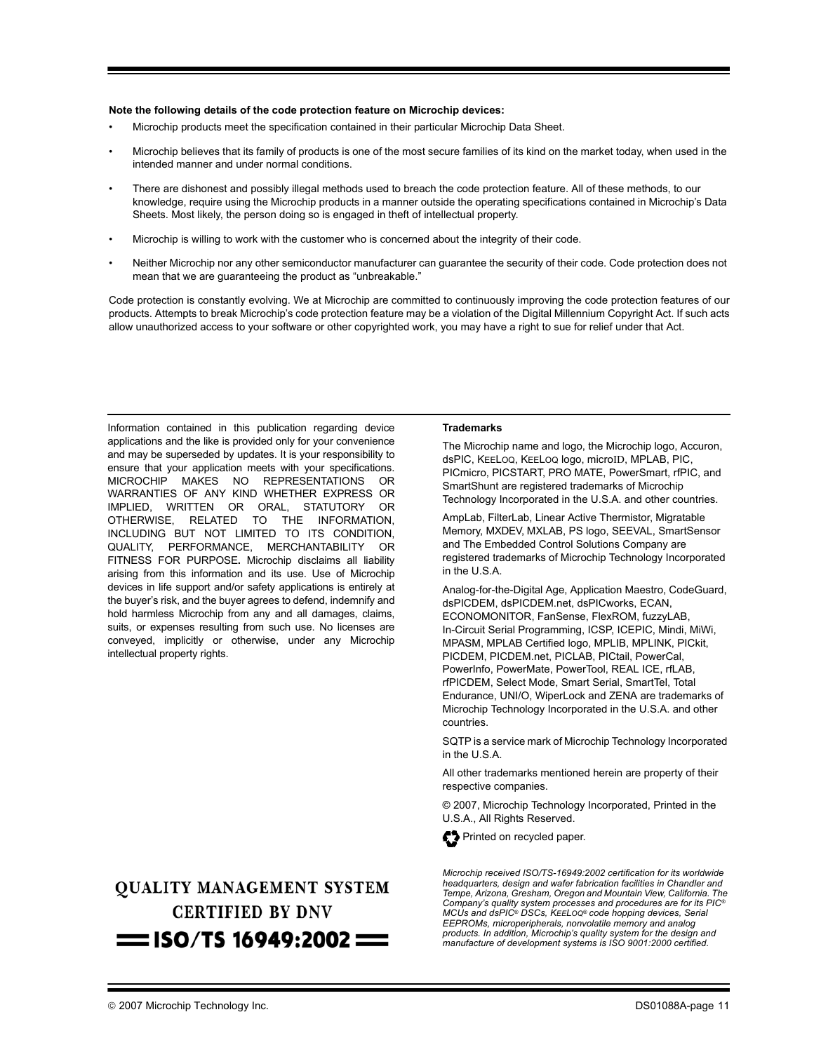#### **Note the following details of the code protection feature on Microchip devices:**

- Microchip products meet the specification contained in their particular Microchip Data Sheet.
- Microchip believes that its family of products is one of the most secure families of its kind on the market today, when used in the intended manner and under normal conditions.
- There are dishonest and possibly illegal methods used to breach the code protection feature. All of these methods, to our knowledge, require using the Microchip products in a manner outside the operating specifications contained in Microchip's Data Sheets. Most likely, the person doing so is engaged in theft of intellectual property.
- Microchip is willing to work with the customer who is concerned about the integrity of their code.
- Neither Microchip nor any other semiconductor manufacturer can guarantee the security of their code. Code protection does not mean that we are guaranteeing the product as "unbreakable."

Code protection is constantly evolving. We at Microchip are committed to continuously improving the code protection features of our products. Attempts to break Microchip's code protection feature may be a violation of the Digital Millennium Copyright Act. If such acts allow unauthorized access to your software or other copyrighted work, you may have a right to sue for relief under that Act.

Information contained in this publication regarding device applications and the like is provided only for your convenience and may be superseded by updates. It is your responsibility to ensure that your application meets with your specifications. MICROCHIP MAKES NO REPRESENTATIONS OR WARRANTIES OF ANY KIND WHETHER EXPRESS OR IMPLIED, WRITTEN OR ORAL, STATUTORY OR OTHERWISE, RELATED TO THE INFORMATION, INCLUDING BUT NOT LIMITED TO ITS CONDITION, QUALITY, PERFORMANCE, MERCHANTABILITY OR FITNESS FOR PURPOSE**.** Microchip disclaims all liability arising from this information and its use. Use of Microchip devices in life support and/or safety applications is entirely at the buyer's risk, and the buyer agrees to defend, indemnify and hold harmless Microchip from any and all damages, claims, suits, or expenses resulting from such use. No licenses are conveyed, implicitly or otherwise, under any Microchip intellectual property rights.

# **OUALITY MANAGEMENT SYSTEM CERTIFIED BY DNV**  $=$  ISO/TS 16949:2002  $=$

#### **Trademarks**

The Microchip name and logo, the Microchip logo, Accuron, dsPIC, KEELOQ, KEELOQ logo, microID, MPLAB, PIC, PICmicro, PICSTART, PRO MATE, PowerSmart, rfPIC, and SmartShunt are registered trademarks of Microchip Technology Incorporated in the U.S.A. and other countries.

AmpLab, FilterLab, Linear Active Thermistor, Migratable Memory, MXDEV, MXLAB, PS logo, SEEVAL, SmartSensor and The Embedded Control Solutions Company are registered trademarks of Microchip Technology Incorporated in the U.S.A.

Analog-for-the-Digital Age, Application Maestro, CodeGuard, dsPICDEM, dsPICDEM.net, dsPICworks, ECAN, ECONOMONITOR, FanSense, FlexROM, fuzzyLAB, In-Circuit Serial Programming, ICSP, ICEPIC, Mindi, MiWi, MPASM, MPLAB Certified logo, MPLIB, MPLINK, PICkit, PICDEM, PICDEM.net, PICLAB, PICtail, PowerCal, PowerInfo, PowerMate, PowerTool, REAL ICE, rfLAB, rfPICDEM, Select Mode, Smart Serial, SmartTel, Total Endurance, UNI/O, WiperLock and ZENA are trademarks of Microchip Technology Incorporated in the U.S.A. and other countries.

SQTP is a service mark of Microchip Technology Incorporated in the U.S.A.

All other trademarks mentioned herein are property of their respective companies.

© 2007, Microchip Technology Incorporated, Printed in the U.S.A., All Rights Reserved.



Printed on recycled paper.

*Microchip received ISO/TS-16949:2002 certification for its worldwide headquarters, design and wafer fabrication facilities in Chandler and Tempe, Arizona, Gresham, Oregon and Mountain View, California. The Company's quality system processes and procedures are for its PIC® MCUs and dsPIC® DSCs, KEELOQ® code hopping devices, Serial EEPROMs, microperipherals, nonvolatile memory and analog products. In addition, Microchip's quality system for the design and manufacture of development systems is ISO 9001:2000 certified.*